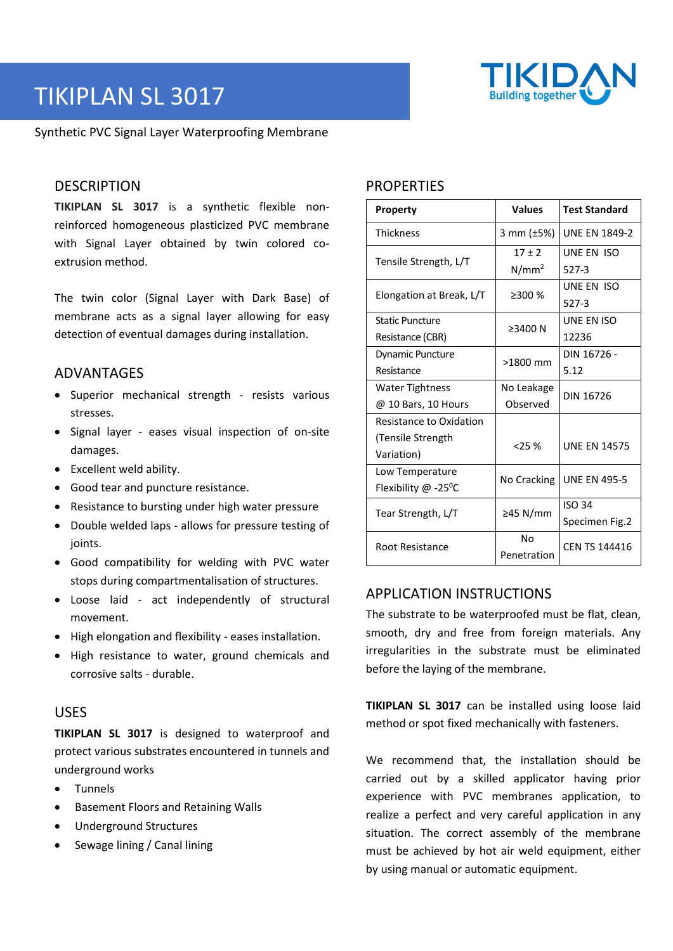# TIKIPLAN SL 3017

Synthetic PVC Signal Layer Waterproofing Membrane

## **DESCRIPTION**

**TIKIPLAN SL 3017** is a synthetic flexible nonreinforced homogeneous plasticized PVC membrane with Signal Layer obtained by twin colored coextrusion method.

The twin color (Signal Layer with Dark Base) of membrane acts as a signal layer allowing for easy detection of eventual damages during installation.

### ADVANTAGES

- Superior mechanical strength resists various stresses.
- Signal layer eases visual inspection of on-site damages.
- Excellent weld ability.
- Good tear and puncture resistance.
- Resistance to bursting under high water pressure
- Double welded laps allows for pressure testing of joints.
- Good compatibility for welding with PVC water stops during compartmentalisation of structures.
- Loose laid act independently of structural movement.
- High elongation and flexibility eases installation.
- High resistance to water, ground chemicals and corrosive salts - durable.

#### USES

**TIKIPLAN SL 3017** is designed to waterproof and protect various substrates encountered in tunnels and underground works

- Tunnels
- Basement Floors and Retaining Walls
- Underground Structures
- Sewage lining / Canal lining

# **PROPERTIES**

| <b>Property</b>                    | <b>Values</b>     | <b>Test Standard</b> |
|------------------------------------|-------------------|----------------------|
| <b>Thickness</b>                   | 3 mm $(\pm 5%)$   | <b>UNE EN 1849-2</b> |
| Tensile Strength, L/T              | $17 + 2$          | UNE EN ISO           |
|                                    | $N/mm^2$          | 527-3                |
| Elongation at Break, L/T           | $\geq$ 300 %      | UNE EN ISO           |
|                                    |                   | $527-3$              |
| <b>Static Puncture</b>             | ≥3400 N           | UNE EN ISO           |
| Resistance (CBR)                   |                   | 12236                |
| Dynamic Puncture                   | $>1800$ mm        | DIN 16726 -          |
| Resistance                         |                   | 5.12                 |
| <b>Water Tightness</b>             | No Leakage        | DIN 16726            |
| @ 10 Bars, 10 Hours                | Observed          |                      |
| Resistance to Oxidation            |                   |                      |
| (Tensile Strength                  | 25%               | <b>UNE EN 14575</b>  |
| Variation)                         |                   |                      |
| Low Temperature                    | No Cracking       | <b>UNE EN 495-5</b>  |
| Flexibility $@ -25$ <sup>o</sup> C |                   |                      |
| Tear Strength, L/T                 | ≥45 N/mm          | <b>ISO 34</b>        |
|                                    |                   | Specimen Fig.2       |
| Root Resistance                    | No<br>Penetration | <b>CEN TS 144416</b> |

# APPLICATION INSTRUCTIONS

The substrate to be waterproofed must be flat, clean, smooth, dry and free from foreign materials. Any irregularities in the substrate must be eliminated before the laying of the membrane.

**TIKIPLAN SL 3017** can be installed using loose laid method or spot fixed mechanically with fasteners.

We recommend that, the installation should be carried out by a skilled applicator having prior experience with PVC membranes application, to realize a perfect and very careful application in any situation. The correct assembly of the membrane must be achieved by hot air weld equipment, either by using manual or automatic equipment.